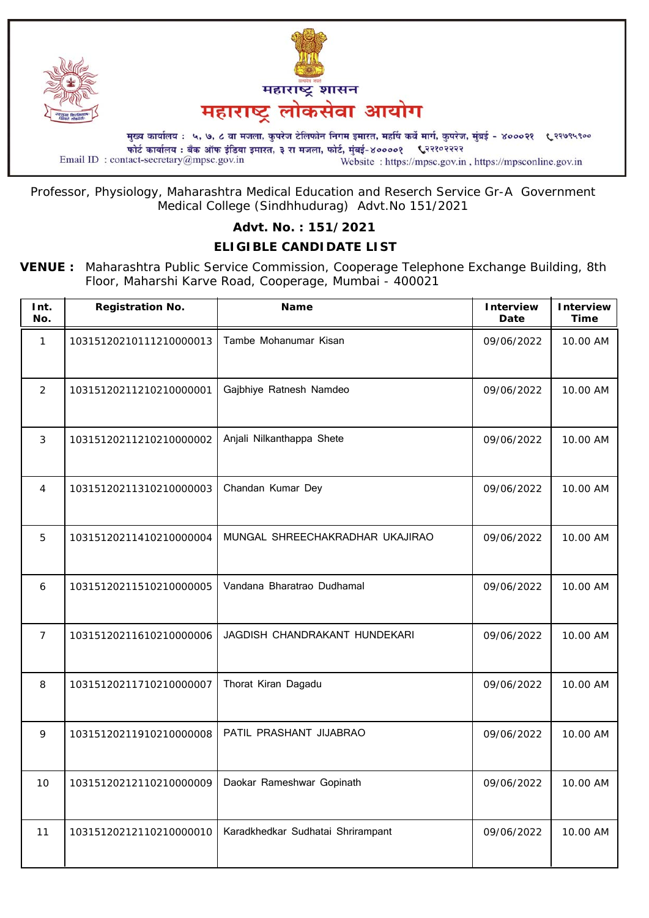

Professor, Physiology, Maharashtra Medical Education and Reserch Service Gr-A Government Medical College (Sindhhudurag) Advt.No 151/2021

## **Advt. No. : 151/2021**

## **ELIGIBLE CANDIDATE LIST**

**VENUE :** Maharashtra Public Service Commission, Cooperage Telephone Exchange Building, 8th Floor, Maharshi Karve Road, Cooperage, Mumbai - 400021

| Int.<br>No.    | <b>Registration No.</b> | <b>Name</b>                       | <b>Interview</b><br>Date | <b>Interview</b><br><b>Time</b> |
|----------------|-------------------------|-----------------------------------|--------------------------|---------------------------------|
| $\mathbf{1}$   | 10315120210111210000013 | Tambe Mohanumar Kisan             | 09/06/2022               | 10.00 AM                        |
| $\overline{2}$ | 10315120211210210000001 | Gajbhiye Ratnesh Namdeo           | 09/06/2022               | 10.00 AM                        |
| 3              | 10315120211210210000002 | Anjali Nilkanthappa Shete         | 09/06/2022               | 10.00 AM                        |
| 4              | 10315120211310210000003 | Chandan Kumar Dey                 | 09/06/2022               | 10.00 AM                        |
| 5              | 10315120211410210000004 | MUNGAL SHREECHAKRADHAR UKAJIRAO   | 09/06/2022               | 10.00 AM                        |
| 6              | 10315120211510210000005 | Vandana Bharatrao Dudhamal        | 09/06/2022               | 10.00 AM                        |
| $\overline{7}$ | 10315120211610210000006 | JAGDISH CHANDRAKANT HUNDEKARI     | 09/06/2022               | 10.00 AM                        |
| 8              | 10315120211710210000007 | Thorat Kiran Dagadu               | 09/06/2022               | 10.00 AM                        |
| 9              | 10315120211910210000008 | PATIL PRASHANT JIJABRAO           | 09/06/2022               | 10.00 AM                        |
| 10             | 10315120212110210000009 | Daokar Rameshwar Gopinath         | 09/06/2022               | 10.00 AM                        |
| 11             | 10315120212110210000010 | Karadkhedkar Sudhatai Shrirampant | 09/06/2022               | 10.00 AM                        |